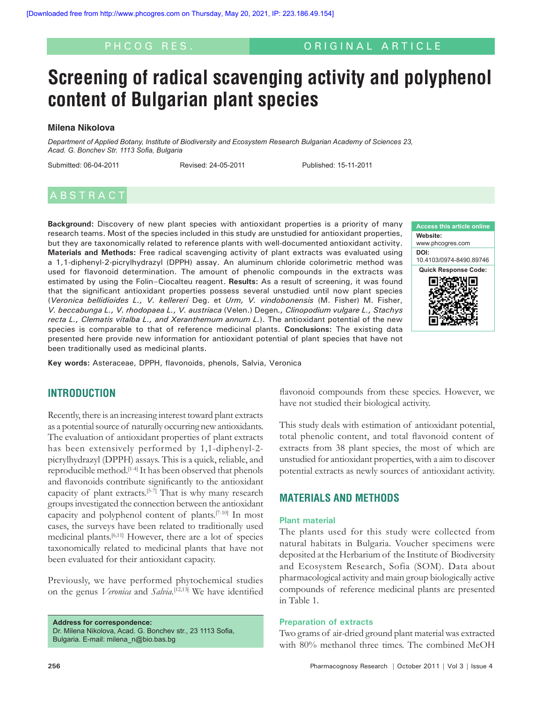#### ORIGINAL ARTICLE

# **Screening of radical scavenging activity and polyphenol content of Bulgarian plant species**

#### **Milena Nikolova**

*Department of Applied Botany, Institute of Biodiversity and Ecosystem Research Bulgarian Academy of Sciences 23, Acad. G. Bonchev Str. 1113 Sofia, Bulgaria*

Submitted: 06-04-2011 Revised: 24-05-2011 Published: 15-11-2011

### **ABSTRACT**

**Background:** Discovery of new plant species with antioxidant properties is a priority of many research teams. Most of the species included in this study are unstudied for antioxidant properties, but they are taxonomically related to reference plants with well-documented antioxidant activity. **Materials and Methods:** Free radical scavenging activity of plant extracts was evaluated using a 1,1-diphenyl-2-picrylhydrazyl (DPPH) assay. An aluminum chloride colorimetric method was used for flavonoid determination. The amount of phenolic compounds in the extracts was estimated by using the Folin–Ciocalteu reagent. **Results:** As a result of screening, it was found that the significant antioxidant properties possess several unstudied until now plant species (*Veronica bellidioides L., V. kellereri* Deg. et *Urm, V. vindobonensis* (M. Fisher) M. Fisher, *V. beccabunga L., V. rhodopaea L., V. austriaca* (Velen.) Degen*., Clinopodium vulgare L., Stachys recta L., Clematis vitalba L., and Xeranthemum annum L.*). The antioxidant potential of the new species is comparable to that of reference medicinal plants. **Conclusions:** The existing data presented here provide new information for antioxidant potential of plant species that have not been traditionally used as medicinal plants.



**Key words:** Asteraceae, DPPH, flavonoids, phenols, Salvia, Veronica

#### **INTRODUCTION**

Recently, there is an increasing interest toward plant extracts as a potential source of naturally occurring new antioxidants. The evaluation of antioxidant properties of plant extracts has been extensively performed by 1,1-diphenyl-2 picrylhydrazyl (DPPH) assays. This is a quick, reliable, and reproducible method.[1-4] It has been observed that phenols and flavonoids contribute significantly to the antioxidant capacity of plant extracts.<sup>[5-7]</sup> That is why many research groups investigated the connection between the antioxidant capacity and polyphenol content of plants.[7-10] In most cases, the surveys have been related to traditionally used medicinal plants.[6,11] However, there are a lot of species taxonomically related to medicinal plants that have not been evaluated for their antioxidant capacity.

Previously, we have performed phytochemical studies on the genus *Veronica* and *Salvia.*[12,13] We have identified

**Address for correspondence:** Dr. Milena Nikolova, Acad. G. Bonchev str., 23 1113 Sofia, Bulgaria. E-mail: milena\_n@bio.bas.bg

flavonoid compounds from these species. However, we have not studied their biological activity.

This study deals with estimation of antioxidant potential, total phenolic content, and total flavonoid content of extracts from 38 plant species, the most of which are unstudied for antioxidant properties, with a aim to discover potential extracts as newly sources of antioxidant activity.

#### **MATERIALS AND METHODS**

#### **Plant material**

The plants used for this study were collected from natural habitats in Bulgaria. Voucher specimens were deposited at the Herbarium of the Institute of Biodiversity and Ecosystem Research, Sofia (SOM). Data about pharmacological activity and main group biologically active compounds of reference medicinal plants are presented in Table 1.

#### **Preparation of extracts**

Two grams of air-dried ground plant material was extracted with 80% methanol three times. The combined MeOH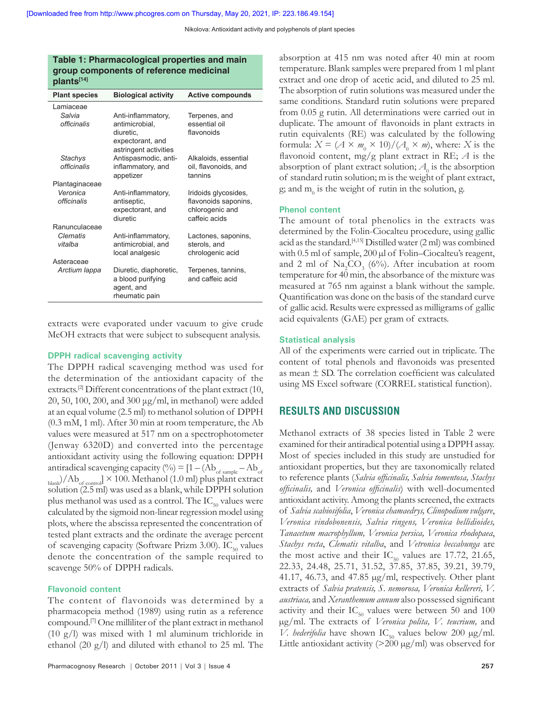Nikolova: Antioxidant activity and polyphenols of plant species

#### **Table 1: Pharmacological properties and main group components of reference medicinal plants[14]**

| <b>Plant species</b> | <b>Biological activity</b> | <b>Active compounds</b> |  |
|----------------------|----------------------------|-------------------------|--|
| Lamiaceae            |                            |                         |  |
| Salvia               | Anti-inflammatory,         | Terpenes, and           |  |
| <i>officinalis</i>   | antimicrobial,             | essential oil           |  |
|                      | diuretic,                  | flavonoids              |  |
|                      | expectorant, and           |                         |  |
|                      | astringent activities      |                         |  |
| <b>Stachys</b>       | Antispasmodic, anti-       | Alkaloids, essential    |  |
| officinalis          | inflammatory, and          | oil, flavonoids, and    |  |
|                      | appetizer                  | tannins                 |  |
| Plantaginaceae       |                            |                         |  |
|                      |                            |                         |  |
| Veronica             | Anti-inflammatory,         | Iridoids glycosides,    |  |
| officinalis          | antiseptic,                | flavonoids saponins,    |  |
|                      | expectorant, and           | chlorogenic and         |  |
|                      | diuretic                   | caffeic acids           |  |
| Ranunculaceae        |                            |                         |  |
| Clematis             | Anti-inflammatory,         | Lactones, saponins,     |  |
| vitalba              | antimicrobial, and         | sterols, and            |  |
|                      | local analgesic            | chrologenic acid        |  |
| Asteraceae           |                            |                         |  |
| Arctium Iappa        | Diuretic, diaphoretic,     | Terpenes, tannins,      |  |
|                      | a blood purifying          | and caffeic acid        |  |
|                      | agent, and                 |                         |  |
|                      | rheumatic pain             |                         |  |

extracts were evaporated under vacuum to give crude MeOH extracts that were subject to subsequent analysis.

#### **DPPH radical scavenging activity**

The DPPH radical scavenging method was used for the determination of the antioxidant capacity of the extracts.<sup>[2]</sup> Different concentrations of the plant extract (10, 20, 50, 100, 200, and 300 μg/ml, in methanol) were added at an equal volume (2.5 ml) to methanol solution of DPPH (0.3 mM, 1 ml). After 30 min at room temperature, the Ab values were measured at 517 nm on a spectrophotometer (Jenway 6320D) and converted into the percentage antioxidant activity using the following equation: DPPH antiradical scavenging capacity (%) = [1 – (Ab $_{\rm of\ sample} - \rm{Ab}_{\rm of}$  $_{\text{blank}}$ /Ab<sub>of control</sub>]  $\times$  100. Methanol (1.0 ml) plus plant extract solution (2.5 ml) was used as a blank, while DPPH solution plus methanol was used as a control. The  $IC_{50}$  values were calculated by the sigmoid non-linear regression model using plots, where the abscissa represented the concentration of tested plant extracts and the ordinate the average percent of scavenging capacity (Software Prizm 3.00).  $IC_{50}$  values denote the concentration of the sample required to scavenge 50% of DPPH radicals.

#### **Flavonoid content**

The content of flavonoids was determined by a pharmacopeia method (1989) using rutin as a reference compound.[7] One milliliter of the plant extract in methanol (10 g/l) was mixed with 1 ml aluminum trichloride in ethanol (20 g/l) and diluted with ethanol to 25 ml. The absorption at 415 nm was noted after 40 min at room temperature. Blank samples were prepared from 1 ml plant extract and one drop of acetic acid, and diluted to 25 ml. The absorption of rutin solutions was measured under the same conditions. Standard rutin solutions were prepared from 0.05 g rutin. All determinations were carried out in duplicate. The amount of flavonoids in plant extracts in rutin equivalents (RE) was calculated by the following formula:  $X = (A \times m_0 \times 10)/(A_0 \times m)$ , where: *X* is the flavonoid content, mg/g plant extract in RE; *A* is the absorption of plant extract solution;  $A_{\boldsymbol{0}}$  is the absorption of standard rutin solution; m is the weight of plant extract, g; and  $m_0$  is the weight of rutin in the solution, g.

#### **Phenol content**

The amount of total phenolics in the extracts was determined by the Folin-Ciocalteu procedure, using gallic acid as the standard.[4,15] Distilled water (2 ml) was combined with 0.5 ml of sample, 200 µl of Folin–Ciocalteu's reagent, and 2 ml of  $\text{Na}_2\text{CO}_3$  (6%). After incubation at room temperature for 40 min, the absorbance of the mixture was measured at 765 nm against a blank without the sample. Quantification was done on the basis of the standard curve of gallic acid. Results were expressed as milligrams of gallic acid equivalents (GAE) per gram of extracts.

#### **Statistical analysis**

All of the experiments were carried out in triplicate. The content of total phenols and flavonoids was presented as mean ± SD. The correlation coefficient was calculated using MS Excel software (CORREL statistical function).

#### **RESULTS AND DISCUSSION**

Methanol extracts of 38 species listed in Table 2 were examined for their antiradical potential using a DPPH assay. Most of species included in this study are unstudied for antioxidant properties, but they are taxonomically related to reference plants (*Salvia officinalis, Salvia tomentosa, Stachys officinalis,* and *Veronica officinalis*) with well-documented antioxidant activity. Among the plants screened, the extracts of *Salvia scabiosifolia*, *Veronica chamaedrys, Clinopodium vulgare*, *Veronica vindobonensis, Salvia ringens, Veronica bellidioides, Tanacetum macrophyllum, Veronica persica, Veronica rhodopaea*, *Stachys recta*, *Clematis vitalba*, and *Vetronica beccabunga* are the most active and their  $IC_{50}$  values are 17.72, 21.65, 22.33, 24.48, 25.71, 31.52, 37.85, 37.85, 39.21, 39.79, 41.17, 46.73, and 47.85 µg/ml, respectively. Other plant extracts of *Salvia pratensis, S. nemorosa, Veronica kellereri, V. austriaca,* and *Xeranthemum annum* also possessed significant activity and their  $IC_{50}$  values were between 50 and 100 µg/ml. The extracts of *Veronica polita, V. teucrium,* and *V. hederifolia* have shown  $IC_{50}$  values below 200  $\mu$ g/ml. Little antioxidant activity  $(>200 \mu g/ml)$  was observed for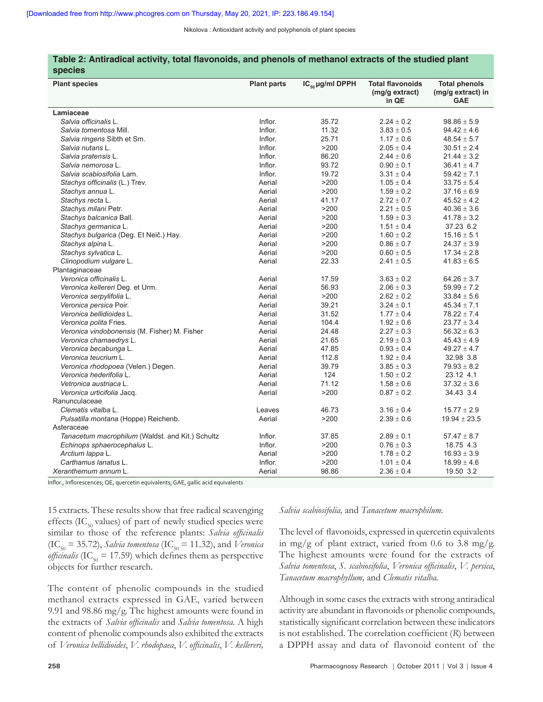Nikolova : Antioxidant activity and polyphenols of plant species

| <b>species</b>                                   |                    |                      |                                                    |                                                         |
|--------------------------------------------------|--------------------|----------------------|----------------------------------------------------|---------------------------------------------------------|
| <b>Plant species</b>                             | <b>Plant parts</b> | $IC_{50}$ µg/ml DPPH | <b>Total flavonoids</b><br>(mg/g extract)<br>in QE | <b>Total phenols</b><br>(mg/g extract) in<br><b>GAE</b> |
| Lamiaceae                                        |                    |                      |                                                    |                                                         |
| Salvia officinalis L.                            | Inflor.            | 35.72                | $2.24 \pm 0.2$                                     | $98.86 \pm 5.9$                                         |
| Salvia tomentosa Mill.                           | Inflor.            | 11.32                | $3.83 \pm 0.5$                                     | $94.42 \pm 4.6$                                         |
| Salvia ringens Sibth et Sm.                      | Inflor.            | 25.71                | $1.17 \pm 0.6$                                     | $48.54 \pm 5.7$                                         |
| Salvia nutans L.                                 | Inflor.            | >200                 | $2.05 \pm 0.4$                                     | $30.51 \pm 2.4$                                         |
| Salvia pratensis L.                              | Inflor.            | 86.20                | $2.44 \pm 0.6$                                     | $21.44 \pm 3.2$                                         |
| Salvia nemorosa L.                               | Inflor.            | 93.72                | $0.90 \pm 0.1$                                     | $36.41 \pm 4.7$                                         |
| Salvia scabiosifolia Lam.                        | Inflor.            | 19.72                | $3.31 \pm 0.4$                                     | $59.42 \pm 7.1$                                         |
| Stachys officinalis (L.) Trev.                   | Aerial             | >200                 | $1.05 \pm 0.4$                                     | $33.75 \pm 5.4$                                         |
| Stachys annua L.                                 | Aerial             | >200                 | $1.59 \pm 0.2$                                     | $37.16 \pm 6.9$                                         |
| Stachys recta L.                                 | Aerial             | 41.17                | $2.72 \pm 0.7$                                     | $45.52 \pm 4.2$                                         |
| Stachys milani Petr.                             | Aerial             | >200                 | $2.21 \pm 0.5$                                     | $40.36 \pm 3.6$                                         |
| Stachys balcanica Ball.                          | Aerial             | >200                 | $1.59 \pm 0.3$                                     | $41.78 \pm 3.2$                                         |
| Stachys germanica L.                             | Aerial             | >200                 | $1.51 \pm 0.4$                                     | 37.23 6.2                                               |
| Stachys bulgarica (Deg. Et Neič.) Hay.           | Aerial             | >200                 | $1.60 \pm 0.2$                                     | $15.16 \pm 5.1$                                         |
| Stachys alpina L.                                | Aerial             | >200                 | $0.86 \pm 0.7$                                     | $24.37 \pm 3.9$                                         |
| Stachys sylvatica L.                             | Aerial             | >200                 | $0.60 \pm 0.5$                                     | $17.34 \pm 2.8$                                         |
| Clinopodium vulgare L.                           | Aerial             | 22.33                | $2.41 \pm 0.5$                                     | $41.83 \pm 6.5$                                         |
| Plantaginaceae                                   |                    |                      |                                                    |                                                         |
| Veronica officinalis L.                          | Aerial             | 17.59                | $3.63 \pm 0.2$                                     | 64.26 $\pm$ 3.7                                         |
| Veronica kellereri Deg. et Urm.                  | Aerial             | 56.93                | $2.06 \pm 0.3$                                     | $59.99 \pm 7.2$                                         |
| Veronica serpylifolia L.                         | Aerial             | >200                 | $2.62 \pm 0.2$                                     | $33.84 \pm 5.6$                                         |
| Veronica persica Poir.                           | Aerial             | 39.21                | $3.24 \pm 0.1$                                     | $45.34 \pm 7.1$                                         |
| Veronica bellidioides L.                         | Aerial             | 31.52                | $1.77 \pm 0.4$                                     | $78.22 \pm 7.4$                                         |
| Veronica polita Fries.                           | Aerial             | 104.4                | $1.92 \pm 0.6$                                     | $23.77 \pm 3.4$                                         |
| Veronica vindobonensis (M. Fisher) M. Fisher     | Aerial             | 24.48                | $2.27 \pm 0.3$                                     | $56.32 \pm 6.3$                                         |
| Veronica chamaedrys L.                           | Aerial             | 21.65                | $2.19 \pm 0.3$                                     | $45.43 \pm 4.9$                                         |
| Veronica becabunga L.                            | Aerial             | 47.85                | $0.93 \pm 0.4$                                     | $49.27 \pm 4.7$                                         |
| Veronica teucrium L.                             | Aerial             | 112.8                | $1.92 \pm 0.4$                                     | 32.98 3.8                                               |
| Veronica rhodopoea (Velen.) Degen.               | Aerial             | 39.79                | $3.85 \pm 0.3$                                     | $79.93 \pm 8.2$                                         |
| Veronica hederifolia L.                          | Aerial             | 124                  | $1.50 \pm 0.2$                                     | 23.12 4.1                                               |
| Vetronica austriaca L.                           | Aerial             | 71.12                | $1.58 \pm 0.6$                                     | $37.32 \pm 3.6$                                         |
| Veronica urticifolia Jacq.                       | Aerial             | >200                 | $0.87 \pm 0.2$                                     | 34.43 3.4                                               |
| Ranunculaceae                                    |                    |                      |                                                    |                                                         |
| Clematis vitalba L.                              | Leaves             | 46.73                | $3.16 \pm 0.4$                                     | $15.77 \pm 2.9$                                         |
| Pulsatilla montana (Hoppe) Reichenb.             | Aerial             | >200                 | $2.39\pm0.6$                                       | $19.94 \pm 23.5$                                        |
| Asteraceae                                       |                    |                      |                                                    |                                                         |
| Tanacetum macrophilum (Waldst. and Kit.) Schultz | Inflor.            | 37.85                | $2.89 \pm 0.1$                                     | $57.47 \pm 8.7$                                         |
| Echinops sphaerocephalus L.                      | Inflor.            | >200                 | $0.76 \pm 0.3$                                     | 18.75 4.3                                               |
| Arctium lappa L.                                 | Aerial             | >200                 | $1.78 \pm 0.2$                                     | $16.93 \pm 3.9$                                         |
| Carthamus lanatus L.                             | Inflor.            | >200                 | $1.01 \pm 0.4$                                     | $18.99 \pm 4.6$                                         |
| Xeranthemum annum L.                             | Aerial             | 98.86                | $2.36 \pm 0.4$                                     | 19.50 3.2                                               |

## **Table 2: Antiradical activity, total flavonoids, and phenols of methanol extracts of the studied plant**

Inflor., Inflorescences; QЕ, quercetin equivalents; GAE, gallic acid equivalents

15 extracts. These results show that free radical scavenging effects (IC $_{50}$  values) of part of newly studied species were similar to those of the reference plants: *Salvia officinalis*  $(IC_{50} = 35.72)$ , *Salvia tomentosa*  $(IC_{50} = 11.32)$ , and *Veronica officinalis* (IC<sub>50</sub> = 17.59) which defines them as perspective objects for further research.

The content of phenolic compounds in the studied methanol extracts expressed in GAE, varied between 9.91 and 98.86 mg/g. The highest amounts were found in the extracts of *Salvia officinalis* and *Salvia tomentosa*. A high content of phenolic compounds also exhibited the extracts of *Veronica bellidioides*, *V. rhodopaea*, *V. officinalis*, *V. kellereri,* *Salvia scabiosifolia,* and *Tanacetum macrophilum.*

The level of flavonoids, expressed in quercetin equivalents in mg/g of plant extract, varied from 0.6 to 3.8 mg/g. The highest amounts were found for the extracts of *Salvia tomentosa*, *S. scabiosifolia*, *Veronica officinalis*, *V. persica*, *Tanacetum macrophyllum,* and *Clematis vitalba.*

Although in some cases the extracts with strong antiradical activity are abundant in flavonoids or phenolic compounds, statistically significant correlation between these indicators is not established. The correlation coefficient (*R*) between a DPPH assay and data of flavonoid content of the